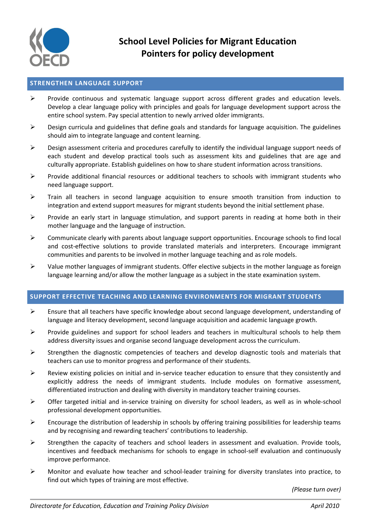

## **STRENGTHEN LANGUAGE SUPPORT**

- Provide continuous and systematic language support across different grades and education levels. Develop a clear language policy with principles and goals for language development support across the entire school system. Pay special attention to newly arrived older immigrants.
- $\triangleright$  Design curricula and guidelines that define goals and standards for language acquisition. The guidelines should aim to integrate language and content learning.
- $\triangleright$  Design assessment criteria and procedures carefully to identify the individual language support needs of each student and develop practical tools such as assessment kits and guidelines that are age and culturally appropriate. Establish guidelines on how to share student information across transitions.
- $\triangleright$  Provide additional financial resources or additional teachers to schools with immigrant students who need language support.
- $\triangleright$  Train all teachers in second language acquisition to ensure smooth transition from induction to integration and extend support measures for migrant students beyond the initial settlement phase.
- $\triangleright$  Provide an early start in language stimulation, and support parents in reading at home both in their mother language and the language of instruction.
- $\triangleright$  Communicate clearly with parents about language support opportunities. Encourage schools to find local and cost-effective solutions to provide translated materials and interpreters. Encourage immigrant communities and parents to be involved in mother language teaching and as role models.
- $\triangleright$  Value mother languages of immigrant students. Offer elective subjects in the mother language as foreign language learning and/or allow the mother language as a subject in the state examination system.

## **SUPPORT EFFECTIVE TEACHING AND LEARNING ENVIRONMENTS FOR MIGRANT STUDENTS**

- $\triangleright$  Ensure that all teachers have specific knowledge about second language development, understanding of language and literacy development, second language acquisition and academic language growth.
- $\triangleright$  Provide guidelines and support for school leaders and teachers in multicultural schools to help them address diversity issues and organise second language development across the curriculum.
- $\triangleright$  Strengthen the diagnostic competencies of teachers and develop diagnostic tools and materials that teachers can use to monitor progress and performance of their students.
- $\triangleright$  Review existing policies on initial and in-service teacher education to ensure that they consistently and explicitly address the needs of immigrant students. Include modules on formative assessment, differentiated instruction and dealing with diversity in mandatory teacher training courses.
- $\triangleright$  Offer targeted initial and in-service training on diversity for school leaders, as well as in whole-school professional development opportunities.
- $\triangleright$  Encourage the distribution of leadership in schools by offering training possibilities for leadership teams and by recognising and rewarding teachers' contributions to leadership.
- $\triangleright$  Strengthen the capacity of teachers and school leaders in assessment and evaluation. Provide tools, incentives and feedback mechanisms for schools to engage in school-self evaluation and continuously improve performance.
- $\triangleright$  Monitor and evaluate how teacher and school-leader training for diversity translates into practice, to find out which types of training are most effective.

*(Please turn over)*